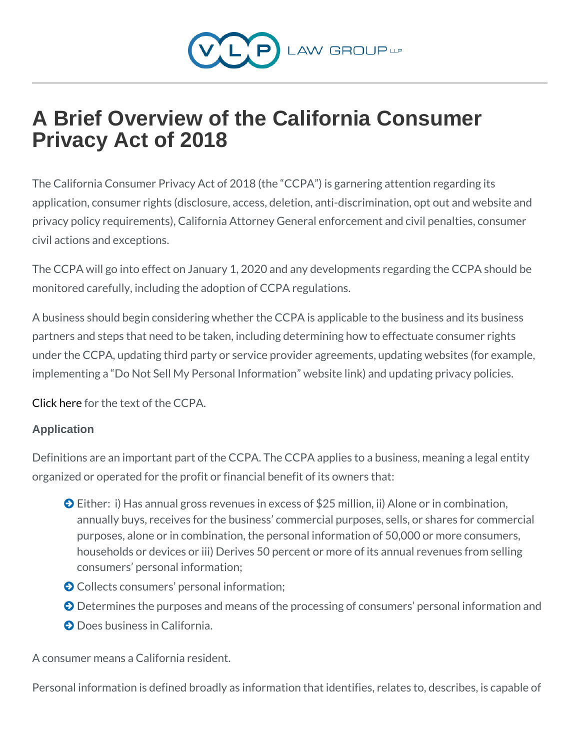# A Brief Overview of the California Consumer Privacy Act of 2018

The California Consumer Privacy Act of 2018 (the CCPA) is garner application, consumer rights (disclosure, access, deletion, anti-dis privacy policy requirements), California Attorney General enforcem civil actions and exceptions.

The CCPA will go into effect on January 1, 2020 and any developme monitored carefully, including the adoption of CCPA regulations.

A business should begin considering whether the CCPA is applicabl partners and steps that need to be taken, including determining how under the CCPA, updating third party or service provider agreement implementing a Do Not Sell My Personal Information website link)

[Click h](https://leginfo.legislature.ca.gov/faces/billTextClient.xhtml?bill_id=201720180AB375)earthe text of the CCPA.

#### Application

Definitions are an important part of the CCPA. The CCPA applies to organized or operated for the profit or financial benefit of its owne

ð©Either: i) Has annual gross revenues in excess of \$25 million annually buys, receives for the business commercial purpose purposes, alone or in combination, the personal information o households or devices or iii) Derives 50 percent or more of it consumers personal information;

ð©Collects consumers personal information;

ð©Determines the purposes and means of the processing of cons ð©Does business in California.

A consumer means a California resident.

Personal information is defined broadly as information that identifi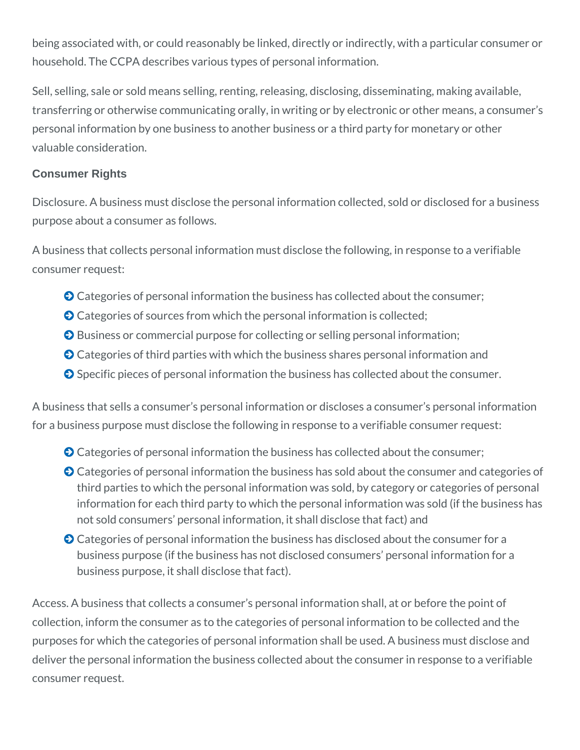being associated with, or could reasonably be linked, directly or indirectly, with a particular consumer or household. The CCPA describes various types of personal information.

Sell, selling, sale or sold means selling, renting, releasing, disclosing, disseminating, making available, transferring or otherwise communicating orally, in writing or by electronic or other means, a consumer's personal information by one business to another business or a third party for monetary or other valuable consideration.

#### **Consumer Rights**

Disclosure. A business must disclose the personal information collected, sold or disclosed for a business purpose about a consumer as follows.

A business that collects personal information must disclose the following, in response to a verifiable consumer request:

- Categories of personal information the business has collected about the consumer;
- $\bullet$  Categories of sources from which the personal information is collected;
- **O** Business or commercial purpose for collecting or selling personal information;
- Categories of third parties with which the business shares personal information and
- ◆ Specific pieces of personal information the business has collected about the consumer.

A business that sells a consumer's personal information or discloses a consumer's personal information for a business purpose must disclose the following in response to a verifiable consumer request:

- Categories of personal information the business has collected about the consumer;
- **O** Categories of personal information the business has sold about the consumer and categories of third parties to which the personal information was sold, by category or categories of personal information for each third party to which the personal information was sold (if the business has not sold consumers' personal information, it shall disclose that fact) and
- **O** Categories of personal information the business has disclosed about the consumer for a business purpose (if the business has not disclosed consumers' personal information for a business purpose, it shall disclose that fact).

Access. A business that collects a consumer's personal information shall, at or before the point of collection, inform the consumer as to the categories of personal information to be collected and the purposes for which the categories of personal information shall be used. A business must disclose and deliver the personal information the business collected about the consumer in response to a verifiable consumer request.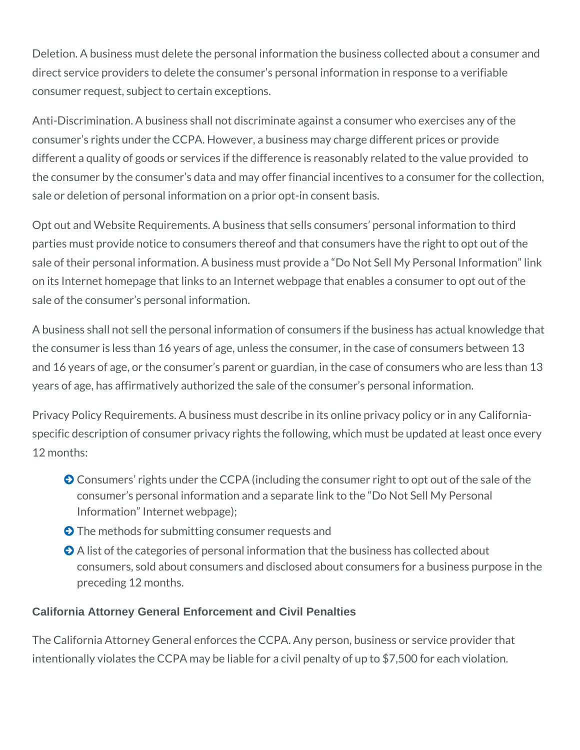Deletion. A business must delete the personal information the business collected about a consumer and direct service providers to delete the consumer's personal information in response to a verifiable consumer request, subject to certain exceptions.

Anti-Discrimination. A business shall not discriminate against a consumer who exercises any of the consumer's rights under the CCPA. However, a business may charge different prices or provide different a quality of goods or services if the difference is reasonably related to the value provided to the consumer by the consumer's data and may offer financial incentives to a consumer for the collection, sale or deletion of personal information on a prior opt-in consent basis.

Opt out and Website Requirements. A business that sells consumers' personal information to third parties must provide notice to consumers thereof and that consumers have the right to opt out of the sale of their personal information. A business must provide a "Do Not Sell My Personal Information" link on its Internet homepage that links to an Internet webpage that enables a consumer to opt out of the sale of the consumer's personal information.

A business shall not sell the personal information of consumers if the business has actual knowledge that the consumer is less than 16 years of age, unless the consumer, in the case of consumers between 13 and 16 years of age, or the consumer's parent or guardian, in the case of consumers who are less than 13 years of age, has affirmatively authorized the sale of the consumer's personal information.

Privacy Policy Requirements. A business must describe in its online privacy policy or in any Californiaspecific description of consumer privacy rights the following, which must be updated at least once every 12 months:

- **O** Consumers' rights under the CCPA (including the consumer right to opt out of the sale of the consumer's personal information and a separate link to the "Do Not Sell My Personal Information" Internet webpage);
- $\odot$  The methods for submitting consumer requests and
- $\bullet$  A list of the categories of personal information that the business has collected about consumers, sold about consumers and disclosed about consumers for a business purpose in the preceding 12 months.

## **California Attorney General Enforcement and Civil Penalties**

The California Attorney General enforces the CCPA. Any person, business or service provider that intentionally violates the CCPA may be liable for a civil penalty of up to \$7,500 for each violation.